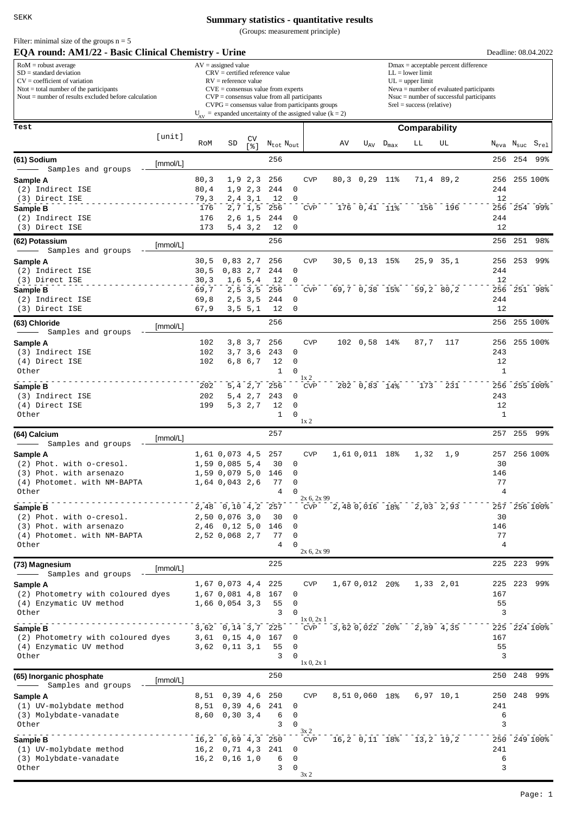## **Summary statistics - quantitative results**

(Groups: measurement principle)

| EQA round: AM1/22 - Basic Clinical Chemistry - Urine                                                                                                                                           |          |               |                                                                                                                                                                                                                                                                                                                          |                         |                     |               |                              |                                                                                                                                                                                                               |                      |                    |               |               | Deadline: 08.04.2022              |         |              |  |
|------------------------------------------------------------------------------------------------------------------------------------------------------------------------------------------------|----------|---------------|--------------------------------------------------------------------------------------------------------------------------------------------------------------------------------------------------------------------------------------------------------------------------------------------------------------------------|-------------------------|---------------------|---------------|------------------------------|---------------------------------------------------------------------------------------------------------------------------------------------------------------------------------------------------------------|----------------------|--------------------|---------------|---------------|-----------------------------------|---------|--------------|--|
| $RoM =$ robust average<br>$SD = standard deviation$<br>$CV = coefficient of variation$<br>$N$ tot = total number of the participants<br>Nout $=$ number of results excluded before calculation |          |               | $AV = assigned value$<br>$CRV =$ certified reference value<br>$RV =$ reference value<br>$CVE = \text{consensus value from experts}$<br>$CVP = \text{consensus value from all participants}$<br>$CVPG = \text{consensus value from participants groups}$<br>$U_{av}$ = expanded uncertainty of the assigned value (k = 2) |                         |                     |               |                              | $Dmax = acceptable percent difference$<br>$LL =$ lower limit<br>$UL = upper limit$<br>$Neva = number of evaluated participants$<br>$N$ suc = number of successful participants<br>$Srel = success$ (relative) |                      |                    |               |               |                                   |         |              |  |
| Test                                                                                                                                                                                           |          |               |                                                                                                                                                                                                                                                                                                                          |                         |                     |               |                              |                                                                                                                                                                                                               |                      |                    | Comparability |               |                                   |         |              |  |
|                                                                                                                                                                                                | [unit]   |               |                                                                                                                                                                                                                                                                                                                          | CV                      |                     |               |                              |                                                                                                                                                                                                               |                      |                    |               |               |                                   |         |              |  |
|                                                                                                                                                                                                |          | RoM           | SD                                                                                                                                                                                                                                                                                                                       | s <sub>1</sub>          | $N_{tot}$ $N_{out}$ |               |                              | AV                                                                                                                                                                                                            |                      | $U_{AV}$ $D_{max}$ | LЬ            | UL            | $N_{\text{eva}}$ $N_{\text{suc}}$ |         | $S_{rel}$    |  |
| (61) Sodium                                                                                                                                                                                    | [mmol/L] |               |                                                                                                                                                                                                                                                                                                                          |                         | 256                 |               |                              |                                                                                                                                                                                                               |                      |                    |               |               | 256                               | 254     | 99%          |  |
| Samples and groups<br>Sample A                                                                                                                                                                 |          | 80, 3         |                                                                                                                                                                                                                                                                                                                          | 1, 9, 2, 3              | 256                 |               | <b>CVP</b>                   |                                                                                                                                                                                                               | 80,3 0,29 11%        |                    |               | 71,4 89,2     | 256                               |         | 255 100%     |  |
| (2) Indirect ISE                                                                                                                                                                               |          | 80, 4         |                                                                                                                                                                                                                                                                                                                          | 1, 9, 2, 3              | 244                 | $\mathbf 0$   |                              |                                                                                                                                                                                                               |                      |                    |               |               | 244                               |         |              |  |
| (3) Direct ISE                                                                                                                                                                                 |          | 79,3          |                                                                                                                                                                                                                                                                                                                          | $2, 4$ $3, 1$           | 12                  | 0             |                              |                                                                                                                                                                                                               |                      |                    |               |               | 12                                |         |              |  |
| Sample B<br>(2) Indirect ISE                                                                                                                                                                   |          | 176<br>176    |                                                                                                                                                                                                                                                                                                                          | 2, 7, 1, 5<br>$2,6$ 1,5 | 256<br>244          | 0             | <b>CVP</b>                   |                                                                                                                                                                                                               | 176 0,41 11%         |                    | 156           | 196           | 256<br>244                        |         | 254 99%      |  |
| (3) Direct ISE                                                                                                                                                                                 |          | 173           |                                                                                                                                                                                                                                                                                                                          | 5, 4, 3, 2              | 12                  | $\mathbf 0$   |                              |                                                                                                                                                                                                               |                      |                    |               |               | 12                                |         |              |  |
| (62) Potassium<br>Samples and groups                                                                                                                                                           | [mmol/L] |               |                                                                                                                                                                                                                                                                                                                          |                         | 256                 |               |                              |                                                                                                                                                                                                               |                      |                    |               |               | 256                               | 251     | 98%          |  |
| Sample A                                                                                                                                                                                       |          | 30,5          | 0,83,2,7                                                                                                                                                                                                                                                                                                                 |                         | 256                 |               | <b>CVP</b>                   |                                                                                                                                                                                                               | $30,5$ 0,13 15%      |                    |               | $25,9$ $35,1$ | 256                               | 253     | 99%          |  |
| (2) Indirect ISE                                                                                                                                                                               |          | 30,5          | 0,83,2,7                                                                                                                                                                                                                                                                                                                 |                         | 244                 | $\mathbf 0$   |                              |                                                                                                                                                                                                               |                      |                    |               |               | 244                               |         |              |  |
| (3) Direct ISE<br>Sample B                                                                                                                                                                     |          | 30, 3<br>69,7 |                                                                                                                                                                                                                                                                                                                          | 1,6,5,4<br>2, 5, 3, 5   | 12<br>256           | 0             | <b>CVP</b>                   |                                                                                                                                                                                                               | $69,7$ 0,38 15%      |                    |               | 59,2 80,2     | 12<br>256                         |         | 251 98%      |  |
| (2) Indirect ISE                                                                                                                                                                               |          | 69,8          |                                                                                                                                                                                                                                                                                                                          | $2, 5$ 3,5              | 244                 | 0             |                              |                                                                                                                                                                                                               |                      |                    |               |               | 244                               |         |              |  |
| (3) Direct ISE                                                                                                                                                                                 |          | 67,9          |                                                                                                                                                                                                                                                                                                                          | 3, 5, 5, 1              | 12                  | $\mathbf 0$   |                              |                                                                                                                                                                                                               |                      |                    |               |               | 12                                |         |              |  |
| (63) Chloride                                                                                                                                                                                  | [mmol/L] |               |                                                                                                                                                                                                                                                                                                                          |                         | 256                 |               |                              |                                                                                                                                                                                                               |                      |                    |               |               | 256                               |         | 255 100%     |  |
| Samples and groups<br>Sample A                                                                                                                                                                 |          | 102           |                                                                                                                                                                                                                                                                                                                          | 3,8 3,7                 | 256                 |               | <b>CVP</b>                   |                                                                                                                                                                                                               | 102 0,58 14%         |                    | 87,7          | 117           | 256                               |         | 255 100%     |  |
| (3) Indirect ISE                                                                                                                                                                               |          | 102           |                                                                                                                                                                                                                                                                                                                          | 3,7 3,6                 | 243                 | 0             |                              |                                                                                                                                                                                                               |                      |                    |               |               | 243                               |         |              |  |
| (4) Direct ISE                                                                                                                                                                                 |          | 102           |                                                                                                                                                                                                                                                                                                                          | 6,8 6,7                 | 12                  | 0             |                              |                                                                                                                                                                                                               |                      |                    |               |               | 12                                |         |              |  |
| Other                                                                                                                                                                                          |          |               |                                                                                                                                                                                                                                                                                                                          |                         | $\mathbf{1}$        | 0             | 1x <sub>2</sub>              |                                                                                                                                                                                                               |                      |                    |               |               | $\mathbf{1}$                      |         |              |  |
| Sample B                                                                                                                                                                                       |          | 202           |                                                                                                                                                                                                                                                                                                                          |                         | 5, 4 2, 7 256       |               | <b>CVP</b>                   |                                                                                                                                                                                                               | $202 \t 0,83 \t 14%$ |                    | 173           | 231           |                                   |         | 256 255 100% |  |
| (3) Indirect ISE<br>(4) Direct ISE                                                                                                                                                             |          | 202<br>199    |                                                                                                                                                                                                                                                                                                                          | 5, 4, 2, 7<br>5,3 2,7   | 243<br>12           | 0<br>0        |                              |                                                                                                                                                                                                               |                      |                    |               |               | 243<br>12                         |         |              |  |
| Other                                                                                                                                                                                          |          |               |                                                                                                                                                                                                                                                                                                                          |                         | $\mathbf{1}$        | $\Omega$      |                              |                                                                                                                                                                                                               |                      |                    |               |               | $\mathbf{1}$                      |         |              |  |
| (64) Calcium                                                                                                                                                                                   |          |               |                                                                                                                                                                                                                                                                                                                          |                         | 257                 |               | 1x <sub>2</sub>              |                                                                                                                                                                                                               |                      |                    |               |               | 257                               | 255     | 99%          |  |
| Samples and groups                                                                                                                                                                             | [mmol/L] |               |                                                                                                                                                                                                                                                                                                                          |                         |                     |               |                              |                                                                                                                                                                                                               |                      |                    |               |               |                                   |         |              |  |
| Sample A                                                                                                                                                                                       |          |               | 1,61 0,073 4,5                                                                                                                                                                                                                                                                                                           |                         | 257                 |               | <b>CVP</b>                   |                                                                                                                                                                                                               | 1,610,011 18%        |                    | 1,32          | 1,9           | 257                               |         | 256 100%     |  |
| (2) Phot. with o-cresol.<br>(3) Phot. with arsenazo                                                                                                                                            |          |               | 1,59 0,085 5,4<br>1,59 0,079 5,0 146                                                                                                                                                                                                                                                                                     |                         | 30                  | 0<br>0        |                              |                                                                                                                                                                                                               |                      |                    |               |               | 30<br>146                         |         |              |  |
| (4) Photomet. with NM-BAPTA                                                                                                                                                                    |          |               | 1,64 0,043 2,6                                                                                                                                                                                                                                                                                                           |                         | 77                  | 0             |                              |                                                                                                                                                                                                               |                      |                    |               |               | 77                                |         |              |  |
| Other                                                                                                                                                                                          |          |               |                                                                                                                                                                                                                                                                                                                          |                         | 4                   | $\Omega$      | 2x 6, 2x 99                  |                                                                                                                                                                                                               |                      |                    |               |               | 4                                 |         |              |  |
| Sample B                                                                                                                                                                                       |          |               | 2,48 0,10 4,2 257                                                                                                                                                                                                                                                                                                        |                         |                     |               | <b>CVP</b>                   |                                                                                                                                                                                                               | 2,48 0,016 18%       |                    |               | $2,03$ 2,93   |                                   |         | 257 256 100% |  |
| (2) Phot. with o-cresol.<br>(3) Phot. with arsenazo                                                                                                                                            |          |               | 2,50 0,076 3,0<br>2,46 0,12 5,0 146                                                                                                                                                                                                                                                                                      |                         | 30                  | 0<br>0        |                              |                                                                                                                                                                                                               |                      |                    |               |               | 30<br>146                         |         |              |  |
| (4) Photomet. with NM-BAPTA                                                                                                                                                                    |          |               | 2,52 0,068 2,7                                                                                                                                                                                                                                                                                                           |                         | 77                  | 0             |                              |                                                                                                                                                                                                               |                      |                    |               |               | 77                                |         |              |  |
| Other                                                                                                                                                                                          |          |               |                                                                                                                                                                                                                                                                                                                          |                         | $\overline{4}$      | 0             | 2x 6, 2x 99                  |                                                                                                                                                                                                               |                      |                    |               |               | 4                                 |         |              |  |
| (73) Magnesium                                                                                                                                                                                 |          |               |                                                                                                                                                                                                                                                                                                                          |                         | 225                 |               |                              |                                                                                                                                                                                                               |                      |                    |               |               |                                   | 225 223 | 99%          |  |
| Samples and groups                                                                                                                                                                             | [mmol/L] |               |                                                                                                                                                                                                                                                                                                                          |                         |                     |               |                              |                                                                                                                                                                                                               |                      |                    |               |               |                                   |         |              |  |
| Sample A                                                                                                                                                                                       |          |               | 1,67 0,073 4,4 225                                                                                                                                                                                                                                                                                                       |                         |                     |               | <b>CVP</b>                   |                                                                                                                                                                                                               | 1,67 0,012 20%       |                    |               | 1,33 2,01     | 225                               | 223     | 99%          |  |
| (2) Photometry with coloured dyes<br>(4) Enzymatic UV method                                                                                                                                   |          |               | 1,67 0,081 4,8 167<br>1,66 0,054 3,3                                                                                                                                                                                                                                                                                     |                         | 55                  | 0<br>0        |                              |                                                                                                                                                                                                               |                      |                    |               |               | 167<br>55                         |         |              |  |
| Other                                                                                                                                                                                          |          |               |                                                                                                                                                                                                                                                                                                                          |                         | 3                   | $\Omega$      |                              |                                                                                                                                                                                                               |                      |                    |               |               | 3                                 |         |              |  |
| Sample B                                                                                                                                                                                       |          |               | 3,62 0,14 3,7 225                                                                                                                                                                                                                                                                                                        |                         |                     |               | $1x\ 0, 2x\ 1$<br><b>CVP</b> |                                                                                                                                                                                                               | 3,62 0,022 20%       |                    |               | 2,89 4,35     |                                   |         | 225 224 100% |  |
| (2) Photometry with coloured dyes                                                                                                                                                              |          |               | 3,61 0,15 4,0 167                                                                                                                                                                                                                                                                                                        |                         |                     | 0             |                              |                                                                                                                                                                                                               |                      |                    |               |               | 167                               |         |              |  |
| (4) Enzymatic UV method<br>Other                                                                                                                                                               |          |               | $3,62$ 0, 11 3, 1                                                                                                                                                                                                                                                                                                        |                         | 55<br>3             | 0<br>$\Omega$ |                              |                                                                                                                                                                                                               |                      |                    |               |               | 55<br>3                           |         |              |  |
|                                                                                                                                                                                                |          |               |                                                                                                                                                                                                                                                                                                                          |                         |                     |               | 1x0, 2x1                     |                                                                                                                                                                                                               |                      |                    |               |               |                                   |         |              |  |
| (65) Inorganic phosphate                                                                                                                                                                       | [mmol/L] |               |                                                                                                                                                                                                                                                                                                                          |                         | 250                 |               |                              |                                                                                                                                                                                                               |                      |                    |               |               | 250                               | 248     | 99%          |  |
| Samples and groups<br>Sample A                                                                                                                                                                 |          |               | 8,51 0,39 4,6 250                                                                                                                                                                                                                                                                                                        |                         |                     |               | <b>CVP</b>                   |                                                                                                                                                                                                               | 8,510,060 18%        |                    |               | $6,97$ 10,1   | 250                               | 248     | 99%          |  |
| (1) UV-molybdate method                                                                                                                                                                        |          |               | 8,51 0,39 4,6                                                                                                                                                                                                                                                                                                            |                         | 241                 | 0             |                              |                                                                                                                                                                                                               |                      |                    |               |               | 241                               |         |              |  |
| (3) Molybdate-vanadate                                                                                                                                                                         |          |               | 8,60 0,30 3,4                                                                                                                                                                                                                                                                                                            |                         | 6                   | 0             |                              |                                                                                                                                                                                                               |                      |                    |               |               | 6                                 |         |              |  |
| Other                                                                                                                                                                                          |          |               |                                                                                                                                                                                                                                                                                                                          |                         | 3                   | $\Omega$      | 3x <sub>2</sub>              |                                                                                                                                                                                                               |                      |                    |               |               | 3                                 |         |              |  |
| Sample B<br>(1) UV-molybdate method                                                                                                                                                            |          |               | $16, 2$ 0,69 4,3 250<br>16,2 0,71 4,3                                                                                                                                                                                                                                                                                    |                         | 241                 | 0             | <b>CVP</b>                   |                                                                                                                                                                                                               | 16,2 0,11 18%        |                    |               | $13, 2$ 19,2  | 241                               |         | 250 249 100% |  |
| (3) Molybdate-vanadate                                                                                                                                                                         |          |               | $16, 2$ 0, 16 1, 0                                                                                                                                                                                                                                                                                                       |                         | 6                   | 0             |                              |                                                                                                                                                                                                               |                      |                    |               |               | 6                                 |         |              |  |
| Other                                                                                                                                                                                          |          |               |                                                                                                                                                                                                                                                                                                                          |                         | 3                   | 0             | 3x2                          |                                                                                                                                                                                                               |                      |                    |               |               | 3                                 |         |              |  |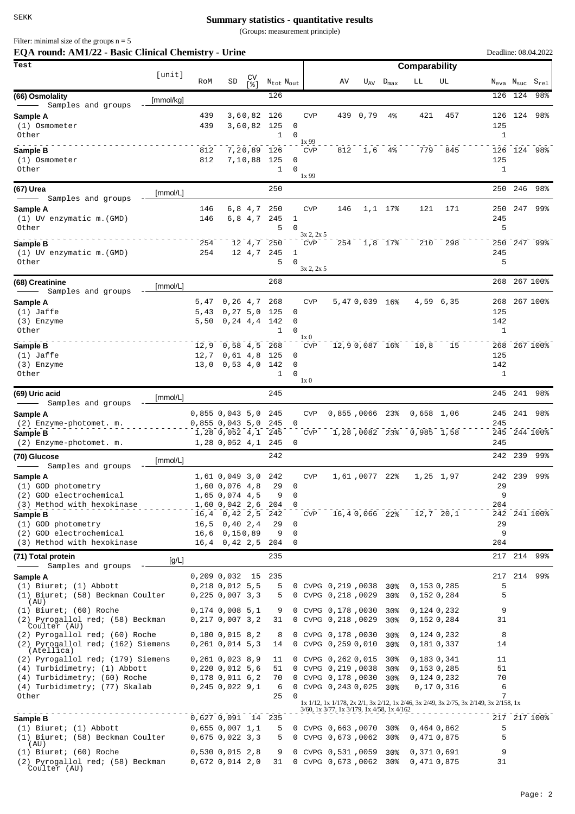## **Summary statistics - quantitative results**

(Groups: measurement principle)

Filter: minimal size of the groups  $n = 5$ 

| EQA round: AM1/22 - Basic Clinical Chemistry - Urine                           |           |              |                                                |                                   |                                   |                  |                    |                                                |               |                    |                               |             |                                                                                       |         | Deadline: 08.04.2022                               |
|--------------------------------------------------------------------------------|-----------|--------------|------------------------------------------------|-----------------------------------|-----------------------------------|------------------|--------------------|------------------------------------------------|---------------|--------------------|-------------------------------|-------------|---------------------------------------------------------------------------------------|---------|----------------------------------------------------|
| Test                                                                           | [unit]    |              |                                                |                                   |                                   |                  |                    |                                                |               |                    | Comparability                 |             |                                                                                       |         |                                                    |
|                                                                                |           | RoM          | SD                                             | CV<br>$\lceil \frac{6}{6} \rceil$ | $N_{\text{tot}}$ $N_{\text{out}}$ |                  |                    | AV                                             |               | $U_{AV}$ $D_{max}$ | LL                            | UL          |                                                                                       |         | $N_{\text{eva}}$ $N_{\text{suc}}$ $S_{\text{rel}}$ |
| (66) Osmolality                                                                | [mmol/kg] |              |                                                |                                   | 126                               |                  |                    |                                                |               |                    |                               |             |                                                                                       | 126 124 | 98%                                                |
| Samples and groups<br>Sample A                                                 |           | 439          |                                                | 3,60,82 126                       |                                   |                  | <b>CVP</b>         |                                                | 439 0,79      | $4\,$              | 421                           | 457         |                                                                                       |         | 126 124 98%                                        |
| (1) Osmometer                                                                  |           | 439          |                                                | 3,60,82 125                       |                                   | 0                |                    |                                                |               |                    |                               |             | 125                                                                                   |         |                                                    |
| Other                                                                          |           |              |                                                |                                   | 1                                 | $\Omega$         | 1x 99              |                                                |               |                    |                               |             | 1                                                                                     |         |                                                    |
| Sample B                                                                       |           | 812          |                                                | 7,20,89 126                       |                                   |                  | <b>CVP</b>         |                                                | 812 1,6 4%    |                    | 779                           | 845         |                                                                                       |         | 126 124 98%                                        |
| (1) Osmometer<br>Other                                                         |           | 812          |                                                | 7,10,88 125                       | $\mathbf{1}$                      | 0<br>$\mathbf 0$ |                    |                                                |               |                    |                               |             | 125<br>$\mathbf{1}$                                                                   |         |                                                    |
|                                                                                |           |              |                                                |                                   |                                   |                  | 1x99               |                                                |               |                    |                               |             |                                                                                       |         |                                                    |
| (67) Urea<br>Samples and groups                                                | [mmol/L]  |              |                                                |                                   | 250                               |                  |                    |                                                |               |                    |                               |             | 250                                                                                   | 246     | 98%                                                |
| Sample A                                                                       |           | 146          |                                                | 6,84,7                            | 250                               |                  | <b>CVP</b>         | 146                                            |               | $1,1$ 17%          | 121                           | 171         | 250                                                                                   | 247     | 99%                                                |
| (1) UV enzymatic m. (GMD)                                                      |           | 146          |                                                | 6,8 4,7                           | 245                               | 1                |                    |                                                |               |                    |                               |             | 245                                                                                   |         |                                                    |
| Other                                                                          |           |              |                                                |                                   | 5                                 | $\Omega$         | 3x 2, 2x 5         |                                                |               |                    |                               |             | 5                                                                                     |         |                                                    |
| Sample B<br>(1) UV enzymatic m. (GMD)                                          |           | 254<br>254   |                                                | 12 4,7<br>12 4,7                  | 250<br>245                        | 1                | <b>CVP</b>         |                                                | 254 1,8 17%   |                    | 210                           | 298         | 245                                                                                   |         | 250 247 99%                                        |
| Other                                                                          |           |              |                                                |                                   | 5                                 | $\Omega$         |                    |                                                |               |                    |                               |             | 5                                                                                     |         |                                                    |
|                                                                                |           |              |                                                |                                   | 268                               |                  | $3x$ 2, $2x$ 5     |                                                |               |                    |                               |             |                                                                                       |         | 268 267 100%                                       |
| (68) Creatinine<br>- Samples and groups                                        | [mmol/L]  |              |                                                |                                   |                                   |                  |                    |                                                |               |                    |                               |             |                                                                                       |         |                                                    |
| Sample A                                                                       |           | 5,47         |                                                | 0, 26, 4, 7                       | 268                               |                  | <b>CVP</b>         |                                                | 5,470,039 16% |                    |                               | 4,59 6,35   |                                                                                       |         | 268 267 100%                                       |
| $(1)$ Jaffe<br>(3) Enzyme                                                      |           | 5,43<br>5,50 |                                                | 0, 27, 5, 0<br>0, 24, 4, 4, 142   | 125                               | 0<br>0           |                    |                                                |               |                    |                               |             | 125<br>142                                                                            |         |                                                    |
| Other                                                                          |           |              |                                                |                                   | 1                                 | 0                |                    |                                                |               |                    |                               |             | $\mathbf{1}$                                                                          |         |                                                    |
| Sample B                                                                       |           | 12, 9        | 0,58 4,5 268                                   |                                   |                                   |                  | 1x 0<br><b>CVP</b> |                                                | 12,90,087 16% |                    | 10, 8                         | 15          |                                                                                       |         | 268 267 100%                                       |
| $(1)$ Jaffe                                                                    |           | 12,7         |                                                | 0,61,4,8                          | 125                               | 0                |                    |                                                |               |                    |                               |             | 125                                                                                   |         |                                                    |
| (3) Enzyme<br>Other                                                            |           | 13,0         |                                                | 0,53,4,0,142                      | 1                                 | 0<br>$\Omega$    |                    |                                                |               |                    |                               |             | 142<br>1                                                                              |         |                                                    |
|                                                                                |           |              |                                                |                                   |                                   |                  | 1x0                |                                                |               |                    |                               |             |                                                                                       |         |                                                    |
| (69) Uric acid<br>Samples and groups                                           | [mmol/L]  |              |                                                |                                   | 245                               |                  |                    |                                                |               |                    |                               |             |                                                                                       | 245 241 | 98%                                                |
| Sample A                                                                       |           |              | 0,855 0,043 5,0                                |                                   | 245                               |                  | <b>CVP</b>         | 0,855,0066 23%                                 |               |                    | 0,658 1,06                    |             | 245                                                                                   | 241     | 98%                                                |
| (2) Enzyme-photomet. m.                                                        |           |              | $0,855$ 0,043 5,0                              |                                   | 245                               | $\mathbf 0$      |                    |                                                |               |                    |                               |             | 245                                                                                   |         |                                                    |
| Sample B<br>(2) Enzyme-photomet. m.                                            |           |              | $1,28$ 0,052 4,1<br>1,28 0,052 4,1             |                                   | 245<br>245                        | 0                | <b>CVP</b>         |                                                |               |                    | 1,28,0082 23% 0,985 1,58      |             | 245                                                                                   |         | 245 244 100%                                       |
| (70) Glucose                                                                   |           |              |                                                |                                   | 242                               |                  |                    |                                                |               |                    |                               |             | 242                                                                                   | 239     | 99%                                                |
| Samples and groups                                                             | [mmol/L]  |              |                                                |                                   |                                   |                  |                    |                                                |               |                    |                               |             |                                                                                       |         |                                                    |
| Sample A                                                                       |           |              | 1,61 0,049 3,0 242                             |                                   |                                   |                  | <b>CVP</b>         |                                                | 1,61,0077 22% |                    |                               | 1,25 1,97   |                                                                                       | 242 239 | 99%                                                |
| (1) GOD photometry<br>(2) GOD electrochemical                                  |           |              | 1,60 0,076 4,8<br>1,65 0,074 4,5               |                                   | 29<br>9                           | 0<br>0           |                    |                                                |               |                    |                               |             | 29<br>9                                                                               |         |                                                    |
| (3) Method with hexokinase                                                     |           |              | 1,60 0,042 2,6                                 |                                   | 204                               | $\Omega$         |                    |                                                |               |                    |                               |             | 204                                                                                   |         |                                                    |
| Sample B<br>(1) GOD photometry                                                 |           |              | $16, 4$ 0, 42 2, 5<br>$16, 5$ 0, 40 2, 4       |                                   | 242<br>29                         | 0                | <b>CVP</b>         |                                                | 16,40,066 22% |                    |                               | $12,7$ 20,1 | 29                                                                                    |         | 242 241 100%                                       |
| (2) GOD electrochemical                                                        |           |              | 16,6 0,150,89                                  |                                   | 9                                 | 0                |                    |                                                |               |                    |                               |             | 9                                                                                     |         |                                                    |
| (3) Method with hexokinase                                                     |           |              | $16, 4$ 0, 42 2, 5                             |                                   | 204                               | 0                |                    |                                                |               |                    |                               |             | 204                                                                                   |         |                                                    |
| (71) Total protein                                                             | [g/L]     |              |                                                |                                   | 235                               |                  |                    |                                                |               |                    |                               |             |                                                                                       |         | 217 214 99%                                        |
| Samples and groups<br>Sample A                                                 |           |              | $0,209$ $0,032$ 15                             |                                   | 235                               |                  |                    |                                                |               |                    |                               |             | 217                                                                                   |         | 214 99%                                            |
| $(1)$ Biuret; $(1)$ Abbott                                                     |           |              | $0,218$ $0,012$ 5,5                            |                                   | 5                                 |                  |                    | $0$ CVPG $0,219,0038$                          |               | 30%                | 0,1530,285                    |             | 5                                                                                     |         |                                                    |
| (1) Biuret; (58) Beckman Coulter<br>(AU)                                       |           |              | 0,225,0,007,3,3                                |                                   | 5                                 |                  |                    | 0 CVPG 0,218,0029                              |               | 30%                | 0,152 0,284                   |             | 5                                                                                     |         |                                                    |
| $(1)$ Biuret; $(60)$ Roche<br>(2) Pyrogallol red; (58) Beckman                 |           |              | $0,174$ 0,008 5,1                              |                                   | 9                                 |                  |                    | 0 CVPG 0,178,0030                              |               | 30%                | 0,124 0,232                   |             | 9<br>31                                                                               |         |                                                    |
| Coulter (AU)                                                                   |           |              | 0,217,0,007,3,2                                |                                   | 31                                |                  |                    | 0 CVPG 0,218,0029                              |               | 30 <sub>8</sub>    | 0,1520,284                    |             |                                                                                       |         |                                                    |
| (2) Pyrogallol red; (60) Roche<br>(2) Pyrogallol red; (162) Siemens            |           |              | $0,180$ $0,015$ $8,2$<br>0,261,0,014,5,3       |                                   | 8<br>14                           |                  |                    | 0 CVPG 0,178,0030<br>0 CVPG 0,259 0,010        |               | 30%<br>$30\%$      | 0,1240,232<br>0,1810,337      |             | 8<br>14                                                                               |         |                                                    |
| (Atellica)<br>(2) Pyrogallol red; (179) Siemens                                |           |              |                                                |                                   | 11                                |                  |                    | 0 CVPG 0,262 0,015 30%                         |               |                    |                               |             | 11                                                                                    |         |                                                    |
| (4) Turbidimetry; (1) Abbott                                                   |           |              | $0,261$ $0,023$ $8,9$<br>$0,220$ $0,012$ $5,6$ |                                   | 51                                |                  |                    | 0 CVPG 0,219,0038                              |               | 30%                | 0,1830,341<br>0,153 0,285     |             | 51                                                                                    |         |                                                    |
| (4) Turbidimetry; (60) Roche                                                   |           |              | $0,178$ $0,011$ $6,2$                          |                                   | 70                                |                  |                    | 0 CVPG 0,178,0030                              |               | 30 <sup>8</sup>    | 0,1240,232                    |             | 70                                                                                    |         |                                                    |
| (4) Turbidimetry; (77) Skalab<br>Other                                         |           |              | 0,245,0,022,9,1                                |                                   | 6<br>25                           | $\Omega$         |                    | 0 CVPG 0,243 0,025 30%                         |               |                    |                               | 0,170,316   | 6<br>7                                                                                |         |                                                    |
|                                                                                |           |              |                                                |                                   |                                   |                  |                    | 3/60, 1x 3/77, 1x 3/179, 1x 4/58, 1x 4/162     |               |                    |                               |             | 1x 1/12, 1x 1/178, 2x 2/1, 3x 2/12, 1x 2/46, 3x 2/49, 3x 2/75, 3x 2/149, 3x 2/158, 1x |         |                                                    |
| Sample B                                                                       |           |              | 0,627 0,091 14 235                             |                                   |                                   |                  |                    |                                                |               |                    |                               |             |                                                                                       |         | 217 217 100%                                       |
| $(1)$ Biuret; $(1)$ Abbott<br>(1) Biuret; (58) Beckman Coulter                 |           |              | $0,655$ 0,007 1,1<br>0,675,0,022,3,3           |                                   | 5<br>5                            |                  |                    | 0 CVPG 0,663,0070 30%<br>0 CVPG 0,673,0062     |               | 30%                | $0,464$ $0,862$<br>0,4710,875 |             | 5<br>5                                                                                |         |                                                    |
| (AU)                                                                           |           |              |                                                |                                   |                                   |                  |                    |                                                |               |                    |                               |             | 9                                                                                     |         |                                                    |
| $(1)$ Biuret; $(60)$ Roche<br>(2) Pyrogallol red; (58) Beckman<br>Coulter (AU) |           |              | $0,530$ $0,015$ $2,8$<br>0,672,0,014,2,0       |                                   | 9<br>31                           |                  |                    | 0 CVPG 0,531,0059 30%<br>0 CVPG 0,673,0062 30% |               |                    | 0,371 0,691<br>0,4710,875     |             | 31                                                                                    |         |                                                    |